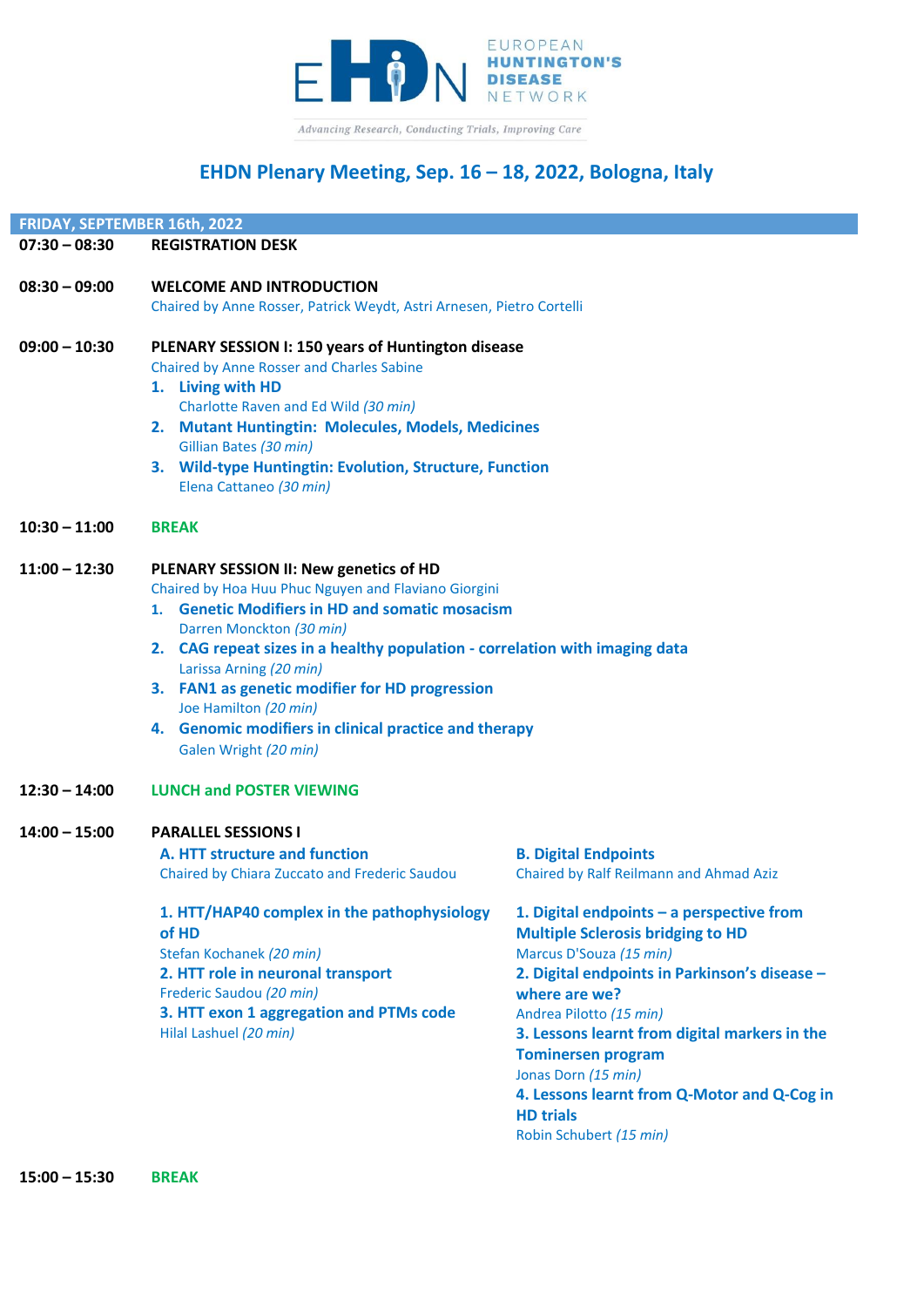

# **EHDN Plenary Meeting, Sep. 16 – 18, 2022, Bologna, Italy**

| <b>FRIDAY, SEPTEMBER 16th, 2022</b> |  |
|-------------------------------------|--|
|                                     |  |

|  | $07:30 - 08:30$ | <b>REGISTRATION DESK</b> |
|--|-----------------|--------------------------|
|--|-----------------|--------------------------|

| $08:30 - 09:00$ | <b>WELCOME AND INTRODUCTION</b>                                                    |                                             |
|-----------------|------------------------------------------------------------------------------------|---------------------------------------------|
|                 | Chaired by Anne Rosser, Patrick Weydt, Astri Arnesen, Pietro Cortelli              |                                             |
| $09:00 - 10:30$ | PLENARY SESSION I: 150 years of Huntington disease                                 |                                             |
|                 | <b>Chaired by Anne Rosser and Charles Sabine</b><br>1. Living with HD              |                                             |
|                 | Charlotte Raven and Ed Wild (30 min)                                               |                                             |
|                 | 2. Mutant Huntingtin: Molecules, Models, Medicines                                 |                                             |
|                 | Gillian Bates (30 min)                                                             |                                             |
|                 | 3. Wild-type Huntingtin: Evolution, Structure, Function<br>Elena Cattaneo (30 min) |                                             |
| $10:30 - 11:00$ | <b>BREAK</b>                                                                       |                                             |
| $11:00 - 12:30$ | PLENARY SESSION II: New genetics of HD                                             |                                             |
|                 | Chaired by Hoa Huu Phuc Nguyen and Flaviano Giorgini                               |                                             |
|                 | 1. Genetic Modifiers in HD and somatic mosacism                                    |                                             |
|                 | Darren Monckton (30 min)                                                           |                                             |
|                 | 2. CAG repeat sizes in a healthy population - correlation with imaging data        |                                             |
|                 | Larissa Arning (20 min)<br>3. FAN1 as genetic modifier for HD progression          |                                             |
|                 | Joe Hamilton (20 min)                                                              |                                             |
|                 | 4. Genomic modifiers in clinical practice and therapy                              |                                             |
|                 | Galen Wright (20 min)                                                              |                                             |
| $12:30 - 14:00$ | <b>LUNCH and POSTER VIEWING</b>                                                    |                                             |
| $14:00 - 15:00$ | <b>PARALLEL SESSIONS I</b>                                                         |                                             |
|                 | A. HTT structure and function                                                      | <b>B. Digital Endpoints</b>                 |
|                 | Chaired by Chiara Zuccato and Frederic Saudou                                      | Chaired by Ralf Reilmann at                 |
|                 | 1. HTT/HAP40 complex in the pathophysiology                                        | 1. Digital endpoints - a p                  |
|                 | of HD                                                                              | <b>Multiple Sclerosis bridgi</b>            |
|                 | Stefan Kochanek (20 min)                                                           | Marcus D'Souza (15 min)                     |
|                 | 2. HTT role in neuronal transport<br>Frederic Saudou (20 min)                      | 2. Digital endpoints in Pa<br>where are we? |
|                 | <b><i>COMMA COMMA</i></b>                                                          |                                             |

**3. HTT exon 1 aggregation and PTMs code** Hilal Lashuel *(20 min)*

and Ahmad Aziz

**1. Digital endpoints – a perspective from ging to HD Parkinson's disease –** Andrea Pilotto *(15 min)* **3. Lessons learnt from digital markers in the Tominersen program** Jonas Dorn *(15 min)* **4. Lessons learnt from Q-Motor and Q-Cog in HD trials** Robin Schubert *(15 min)*

**15:00 – 15:30 BREAK**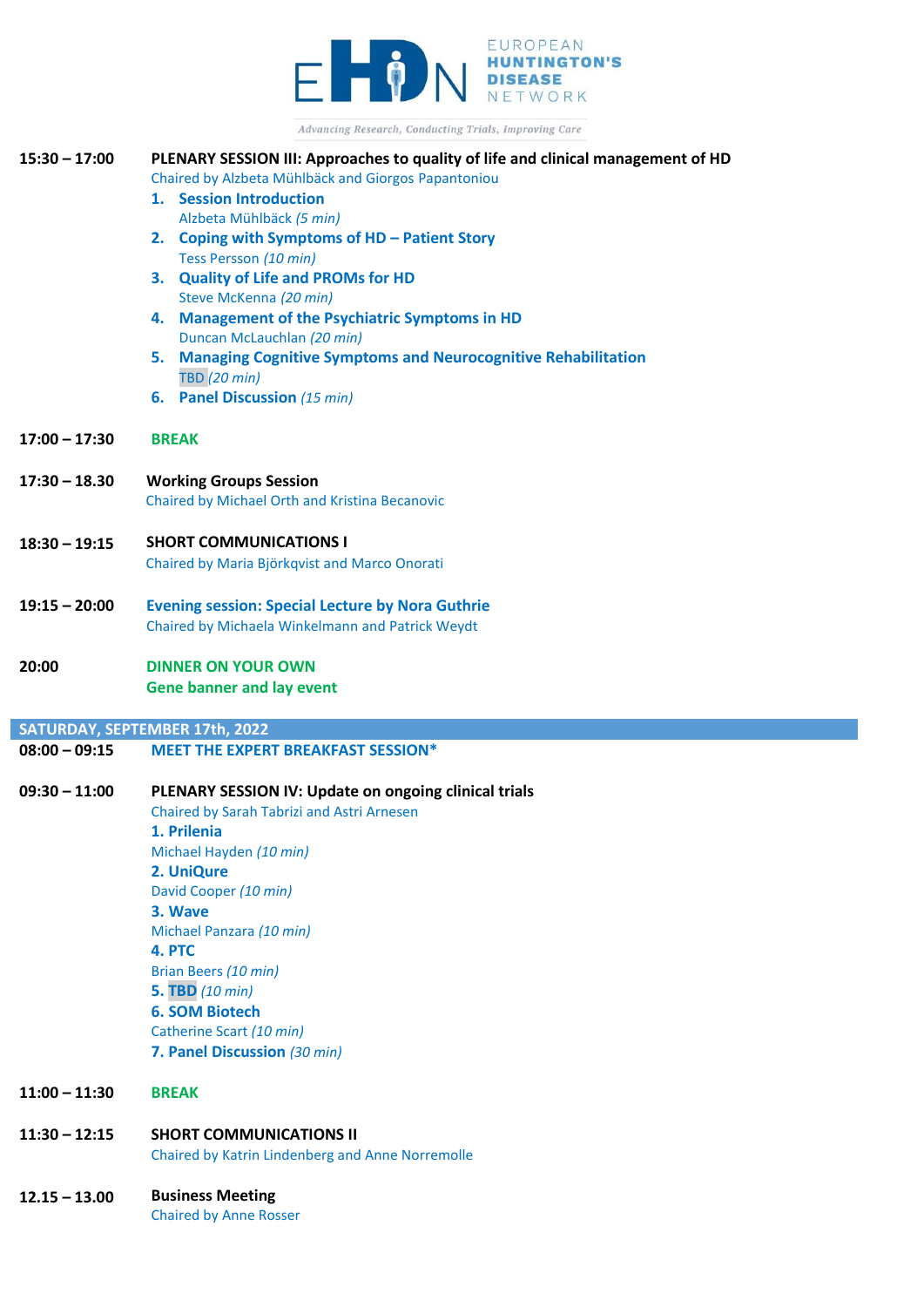

Advancing Research, Conducting Trials, Improving Care

| $15:30 - 17:00$ | PLENARY SESSION III: Approaches to quality of life and clinical management of HD<br>Chaired by Alzbeta Mühlbäck and Giorgos Papantoniou |
|-----------------|-----------------------------------------------------------------------------------------------------------------------------------------|
|                 | 1. Session Introduction                                                                                                                 |
|                 | Alzbeta Mühlbäck (5 min)                                                                                                                |
|                 | 2. Coping with Symptoms of HD - Patient Story                                                                                           |
|                 | Tess Persson (10 min)<br>3. Quality of Life and PROMs for HD                                                                            |
|                 | Steve McKenna (20 min)                                                                                                                  |
|                 | 4. Management of the Psychiatric Symptoms in HD                                                                                         |
|                 | Duncan McLauchlan (20 min)                                                                                                              |
|                 | 5. Managing Cognitive Symptoms and Neurocognitive Rehabilitation                                                                        |
|                 | <b>TBD</b> (20 min)<br>6. Panel Discussion (15 min)                                                                                     |
|                 |                                                                                                                                         |
| $17:00 - 17:30$ | <b>BREAK</b>                                                                                                                            |
| $17:30 - 18.30$ | <b>Working Groups Session</b>                                                                                                           |
|                 | Chaired by Michael Orth and Kristina Becanovic                                                                                          |
|                 |                                                                                                                                         |
| $18:30 - 19:15$ | <b>SHORT COMMUNICATIONS I</b>                                                                                                           |
|                 | Chaired by Maria Björkqvist and Marco Onorati                                                                                           |
| $19:15 - 20:00$ | <b>Evening session: Special Lecture by Nora Guthrie</b>                                                                                 |
|                 | Chaired by Michaela Winkelmann and Patrick Weydt                                                                                        |
|                 |                                                                                                                                         |
| 20:00           | <b>DINNER ON YOUR OWN</b>                                                                                                               |
|                 |                                                                                                                                         |
|                 | <b>Gene banner and lay event</b>                                                                                                        |
|                 | SATURDAY, SEPTEMBER 17th, 2022                                                                                                          |
| $08:00 - 09:15$ | <b>MEET THE EXPERT BREAKFAST SESSION*</b>                                                                                               |
|                 |                                                                                                                                         |
| $09:30 - 11:00$ | PLENARY SESSION IV: Update on ongoing clinical trials                                                                                   |
|                 | Chaired by Sarah Tabrizi and Astri Arnesen                                                                                              |
|                 | 1. Prilenia                                                                                                                             |
|                 | Michael Hayden (10 min)                                                                                                                 |
|                 | 2. UniQure<br>David Cooper (10 min)                                                                                                     |
|                 | 3. Wave                                                                                                                                 |
|                 | Michael Panzara (10 min)                                                                                                                |
|                 | 4. PTC                                                                                                                                  |
|                 | Brian Beers (10 min)                                                                                                                    |
|                 | <b>5. TBD</b> (10 min)                                                                                                                  |
|                 | <b>6. SOM Biotech</b>                                                                                                                   |
|                 | Catherine Scart (10 min)                                                                                                                |
|                 | 7. Panel Discussion (30 min)                                                                                                            |
| $11:00 - 11:30$ | <b>BREAK</b>                                                                                                                            |
| $11:30 - 12:15$ | <b>SHORT COMMUNICATIONS II</b>                                                                                                          |
|                 | Chaired by Katrin Lindenberg and Anne Norremolle                                                                                        |

 $\mathbb{R}^2$ 

Chaired by Anne Rosser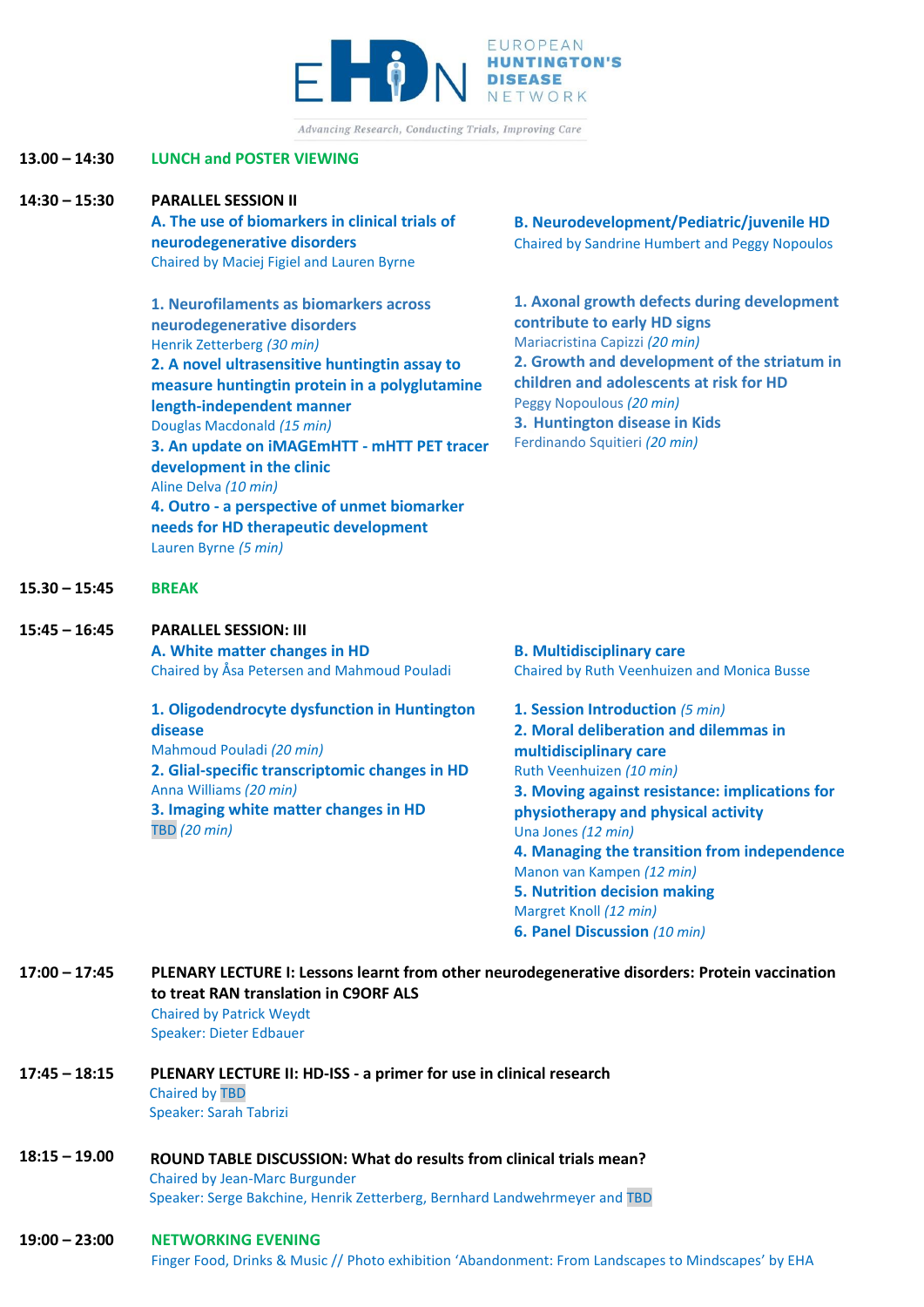

Advancing Research, Conducting Trials, Improving Care

## **13.00 – 14:30 LUNCH and POSTER VIEWING**

#### **14:30 – 15:30 PARALLEL SESSION II**

**A. The use of biomarkers in clinical trials of neurodegenerative disorders** Chaired by Maciej Figiel and Lauren Byrne

**1. Neurofilaments as biomarkers across neurodegenerative disorders** Henrik Zetterberg *(30 min)* **2. A novel ultrasensitive huntingtin assay to measure huntingtin protein in a polyglutamine length-independent manner** Douglas Macdonald *(15 min)* **3. An update on iMAGEmHTT - mHTT PET tracer development in the clinic** Aline Delva *(10 min)* **4. Outro - a perspective of unmet biomarker needs for HD therapeutic development** Lauren Byrne *(5 min)*

**B. Neurodevelopment/Pediatric/juvenile HD** Chaired by Sandrine Humbert and Peggy Nopoulos

**1. Axonal growth defects during development contribute to early HD signs** Mariacristina Capizzi *(20 min)* **2. Growth and development of the striatum in children and adolescents at risk for HD** Peggy Nopoulous *(20 min)* **3. Huntington disease in Kids** Ferdinando Squitieri *(20 min)*

**15.30 – 15:45 BREAK**

## **15:45 – 16:45 PARALLEL SESSION: III**

**A. White matter changes in HD** Chaired by Åsa Petersen and Mahmoud Pouladi

## **1. Oligodendrocyte dysfunction in Huntington disease** Mahmoud Pouladi *(20 min)* **2. Glial-specific transcriptomic changes in HD** Anna Williams *(20 min)*

**3. Imaging white matter changes in HD** TBD *(20 min)*

**B. Multidisciplinary care**  Chaired by Ruth Veenhuizen and Monica Busse

**1. Session Introduction** *(5 min)* **2. Moral deliberation and dilemmas in multidisciplinary care**  Ruth Veenhuizen *(10 min)* **3. Moving against resistance: implications for physiotherapy and physical activity** Una Jones *(12 min)* **4. Managing the transition from independence** Manon van Kampen *(12 min)* **5. Nutrition decision making**  Margret Knoll *(12 min)* **6. Panel Discussion** *(10 min)*

## **17:00 – 17:45 PLENARY LECTURE I: Lessons learnt from other neurodegenerative disorders: Protein vaccination to treat RAN translation in C9ORF ALS** Chaired by Patrick Weydt Speaker: Dieter Edbauer

- **17:45 – 18:15 PLENARY LECTURE II: HD-ISS - a primer for use in clinical research** Chaired by TBD Speaker: Sarah Tabrizi
- **18:15 – 19.00 ROUND TABLE DISCUSSION: What do results from clinical trials mean?** Chaired by Jean-Marc Burgunder Speaker: Serge Bakchine, Henrik Zetterberg, Bernhard Landwehrmeyer and TBD

#### **19:00 – 23:00 NETWORKING EVENING**

Finger Food, Drinks & Music // Photo exhibition 'Abandonment: From Landscapes to Mindscapes' by EHA